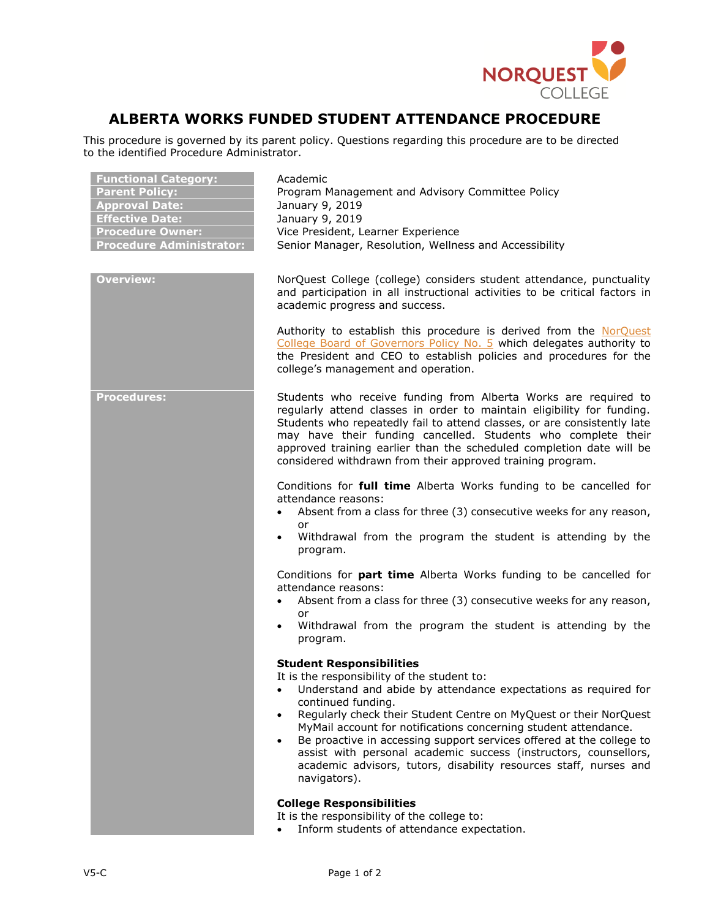

## **ALBERTA WORKS FUNDED STUDENT ATTENDANCE PROCEDURE**

This procedure is governed by its parent policy. Questions regarding this procedure are to be directed to the identified Procedure Administrator.

| <b>Functional Category:</b><br><b>Parent Policy:</b><br><b>Approval Date:</b><br><b>Effective Date:</b><br><b>Procedure Owner:</b><br><b>Procedure Administrator:</b> | Academic<br>Program Management and Advisory Committee Policy<br>January 9, 2019<br>January 9, 2019<br>Vice President, Learner Experience<br>Senior Manager, Resolution, Wellness and Accessibility                                                                                                                                                                                                                           |
|-----------------------------------------------------------------------------------------------------------------------------------------------------------------------|------------------------------------------------------------------------------------------------------------------------------------------------------------------------------------------------------------------------------------------------------------------------------------------------------------------------------------------------------------------------------------------------------------------------------|
| <b>Overview:</b>                                                                                                                                                      | NorQuest College (college) considers student attendance, punctuality<br>and participation in all instructional activities to be critical factors in<br>academic progress and success.                                                                                                                                                                                                                                        |
|                                                                                                                                                                       | Authority to establish this procedure is derived from the NorQuest<br>College Board of Governors Policy No. 5 which delegates authority to<br>the President and CEO to establish policies and procedures for the<br>college's management and operation.                                                                                                                                                                      |
| <b>Procedures:</b>                                                                                                                                                    | Students who receive funding from Alberta Works are required to<br>regularly attend classes in order to maintain eligibility for funding.<br>Students who repeatedly fail to attend classes, or are consistently late<br>may have their funding cancelled. Students who complete their<br>approved training earlier than the scheduled completion date will be<br>considered withdrawn from their approved training program. |
|                                                                                                                                                                       | Conditions for full time Alberta Works funding to be cancelled for<br>attendance reasons:                                                                                                                                                                                                                                                                                                                                    |
|                                                                                                                                                                       | Absent from a class for three (3) consecutive weeks for any reason,<br>$\bullet$<br>or                                                                                                                                                                                                                                                                                                                                       |
|                                                                                                                                                                       | Withdrawal from the program the student is attending by the<br>$\bullet$<br>program.                                                                                                                                                                                                                                                                                                                                         |
|                                                                                                                                                                       | Conditions for <b>part time</b> Alberta Works funding to be cancelled for<br>attendance reasons:                                                                                                                                                                                                                                                                                                                             |
|                                                                                                                                                                       | Absent from a class for three (3) consecutive weeks for any reason,<br>or                                                                                                                                                                                                                                                                                                                                                    |
|                                                                                                                                                                       | Withdrawal from the program the student is attending by the<br>program.                                                                                                                                                                                                                                                                                                                                                      |
|                                                                                                                                                                       | <b>Student Responsibilities</b>                                                                                                                                                                                                                                                                                                                                                                                              |
|                                                                                                                                                                       | It is the responsibility of the student to:<br>Understand and abide by attendance expectations as required for<br>continued funding.<br>Regularly check their Student Centre on MyQuest or their NorQuest<br>$\bullet$                                                                                                                                                                                                       |
|                                                                                                                                                                       | MyMail account for notifications concerning student attendance.<br>Be proactive in accessing support services offered at the college to<br>$\bullet$<br>assist with personal academic success (instructors, counsellors,<br>academic advisors, tutors, disability resources staff, nurses and<br>navigators).                                                                                                                |
|                                                                                                                                                                       | <b>College Responsibilities</b>                                                                                                                                                                                                                                                                                                                                                                                              |
|                                                                                                                                                                       | It is the responsibility of the college to:<br>Inform students of attendance expectation.                                                                                                                                                                                                                                                                                                                                    |